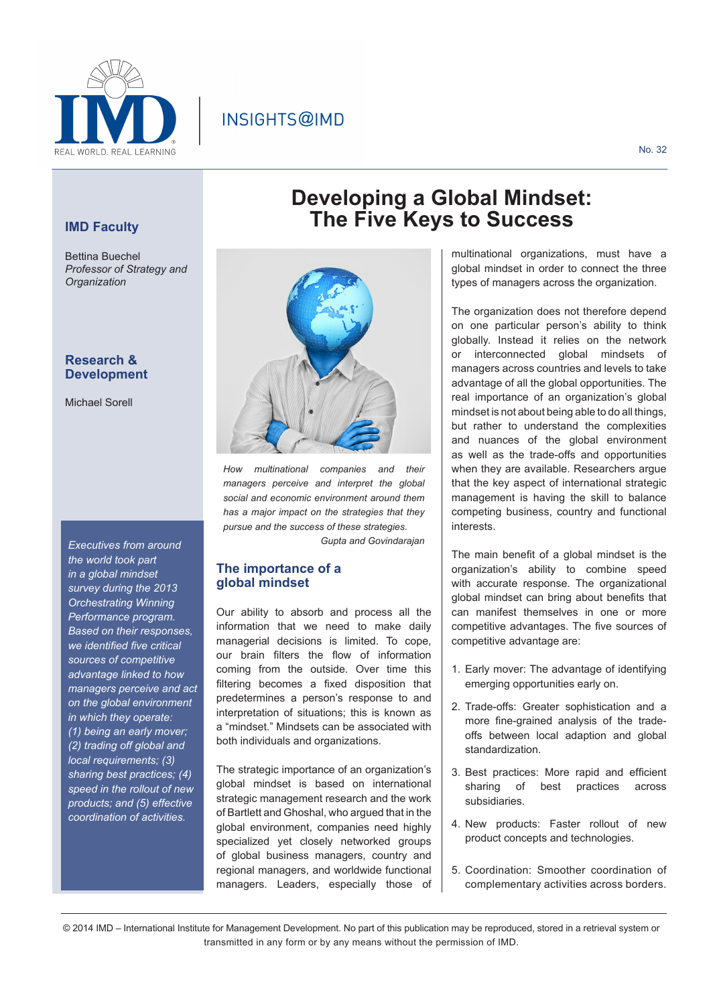

# INSIGHTS@IMD

# **IMD Faculty**

Bettina Buechel *Professor of Strategy and Organization*

# **Research & Development**

Michael Sorell

*Executives from around the world took part in a global mindset survey during the 2013 Orchestrating Winning Performance program. Based on their responses, we identified five critical sources of competitive advantage linked to how managers perceive and act on the global environment in which they operate: (1) being an early mover; (2) trading off global and local requirements; (3) sharing best practices; (4) speed in the rollout of new products; and (5) effective coordination of activities.*



*How multinational companies and managers perceive and interpret the global social and economic environment around them has a major impact on the strategies that they pursue and the success of these strategies.* 

*Gupta and Govindarajan*

### **The importance of a global mindset**

Our ability to absorb and process all the information that we need to make daily managerial decisions is limited. To cope, our brain filters the flow of information coming from the outside. Over time this filtering becomes a fixed disposition that predetermines a person's response to and interpretation of situations; this is known as a "mindset." Mindsets can be associated with both individuals and organizations.

The strategic importance of an organization's global mindset is based on international strategic management research and the work of Bartlett and Ghoshal, who argued that in the global environment, companies need highly specialized yet closely networked groups of global business managers, country and regional managers, and worldwide functional managers. Leaders, especially those of

# **Developing a Global Mindset: The Five Keys to Success**

multinational organizations, must have a global mindset in order to connect the three types of managers across the organization.

The organization does not therefore depend on one particular person's ability to think globally. Instead it relies on the network or interconnected global mindsets of managers across countries and levels to take advantage of all the global opportunities. The real importance of an organization's global mindset is not about being able to do all things, but rather to understand the complexities and nuances of the global environment as well as the trade-offs and opportunities when they are available. Researchers argue that the key aspect of international strategic management is having the skill to balance competing business, country and functional interests.

The main benefit of a global mindset is the organization's ability to combine speed with accurate response. The organizational global mindset can bring about benefits that can manifest themselves in one or more competitive advantages. The five sources of competitive advantage are:

- 1. Early mover: The advantage of identifying emerging opportunities early on.
- 2. Trade-offs: Greater sophistication and a more fine-grained analysis of the tradeoffs between local adaption and global standardization.
- 3. Best practices: More rapid and efficient sharing of best practices across subsidiaries.
- 4. New products: Faster rollout of new product concepts and technologies.
- 5. Coordination: Smoother coordination of complementary activities across borders.

© 2014 IMD – International Institute for Management Development. No part of this publication may be reproduced, stored in a retrieval system or transmitted in any form or by any means without the permission of IMD.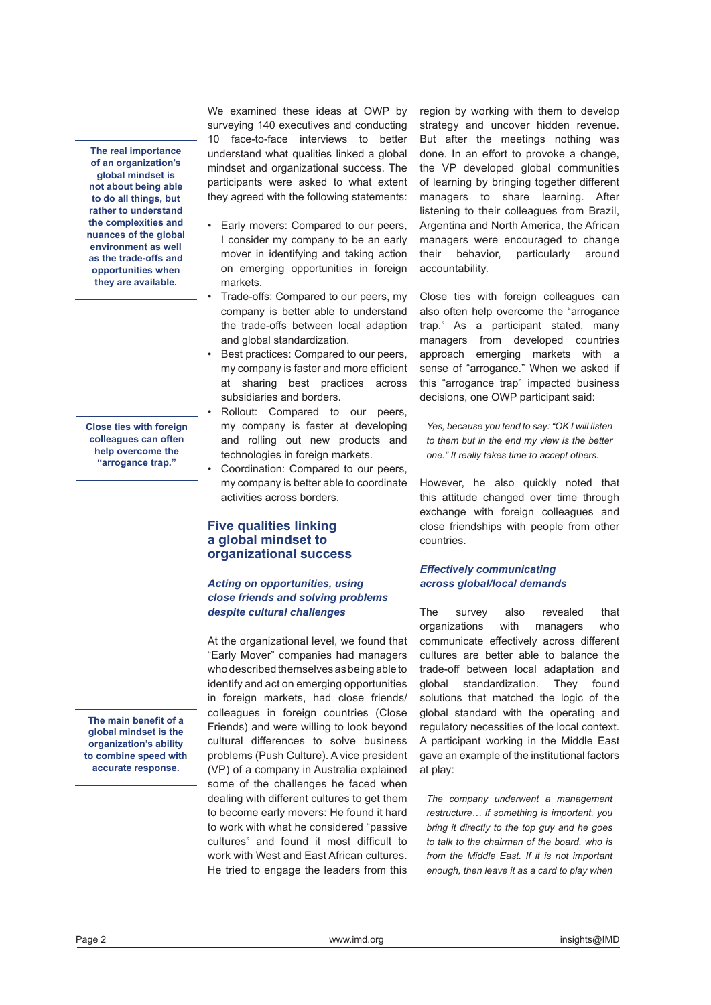**The real importance of an organization's global mindset is not about being able to do all things, but rather to understand the complexities and nuances of the global environment as well as the trade-offs and opportunities when they are available.**

**Close ties with foreign colleagues can often help overcome the "arrogance trap."** 

**The main benefit of a global mindset is the organization's ability to combine speed with accurate response.** 

We examined these ideas at OWP by surveying 140 executives and conducting 10 face-to-face interviews to better understand what qualities linked a global mindset and organizational success. The participants were asked to what extent they agreed with the following statements:

- Early movers: Compared to our peers, I consider my company to be an early mover in identifying and taking action on emerging opportunities in foreign markets.
- Trade-offs: Compared to our peers, my company is better able to understand the trade-offs between local adaption and global standardization.
- Best practices: Compared to our peers, my company is faster and more efficient at sharing best practices across subsidiaries and borders.
- Rollout: Compared to our peers, my company is faster at developing and rolling out new products and technologies in foreign markets.
- Coordination: Compared to our peers, my company is better able to coordinate activities across borders.

# **Five qualities linking a global mindset to organizational success**

### *Acting on opportunities, using close friends and solving problems despite cultural challenges*

At the organizational level, we found that "Early Mover" companies had managers who described themselves as being able to identify and act on emerging opportunities in foreign markets, had close friends/ colleagues in foreign countries (Close Friends) and were willing to look beyond cultural differences to solve business problems (Push Culture). A vice president (VP) of a company in Australia explained some of the challenges he faced when dealing with different cultures to get them to become early movers: He found it hard to work with what he considered "passive cultures" and found it most difficult to work with West and East African cultures. He tried to engage the leaders from this region by working with them to develop strategy and uncover hidden revenue. But after the meetings nothing was done. In an effort to provoke a change, the VP developed global communities of learning by bringing together different managers to share learning. After listening to their colleagues from Brazil, Argentina and North America, the African managers were encouraged to change their behavior, particularly around accountability.

Close ties with foreign colleagues can also often help overcome the "arrogance trap." As a participant stated, many managers from developed countries approach emerging markets with a sense of "arrogance." When we asked if this "arrogance trap" impacted business decisions, one OWP participant said:

*Yes, because you tend to say: "OK I will listen to them but in the end my view is the better one." It really takes time to accept others.*

However, he also quickly noted that this attitude changed over time through exchange with foreign colleagues and close friendships with people from other countries.

## *Effectively communicating across global/local demands*

The survey also revealed that organizations with managers who communicate effectively across different cultures are better able to balance the trade-off between local adaptation and global standardization. They found solutions that matched the logic of the global standard with the operating and regulatory necessities of the local context. A participant working in the Middle East gave an example of the institutional factors at play:

*The company underwent a management restructure… if something is important, you bring it directly to the top guy and he goes to talk to the chairman of the board, who is from the Middle East. If it is not important enough, then leave it as a card to play when*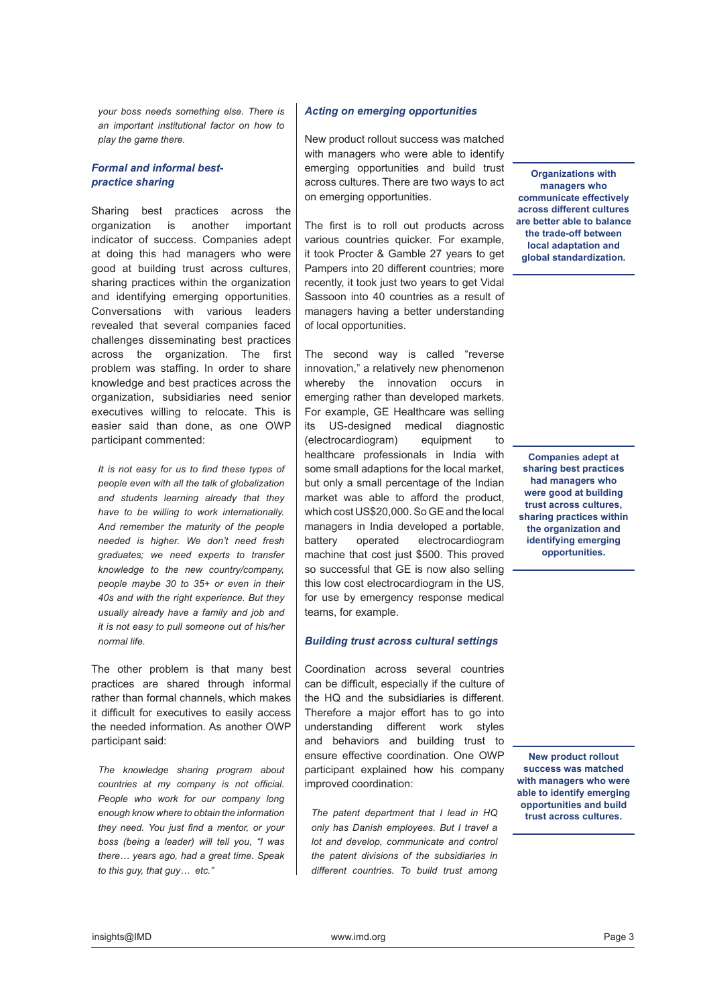*your boss needs something else. There is an important institutional factor on how to play the game there.*

#### *Formal and informal bestpractice sharing*

Sharing best practices across the organization is another important indicator of success. Companies adept at doing this had managers who were good at building trust across cultures, sharing practices within the organization and identifying emerging opportunities. Conversations with various leaders revealed that several companies faced challenges disseminating best practices across the organization. The first problem was staffing. In order to share knowledge and best practices across the organization, subsidiaries need senior executives willing to relocate. This is easier said than done, as one OWP participant commented:

*It is not easy for us to find these types of people even with all the talk of globalization and students learning already that they have to be willing to work internationally. And remember the maturity of the people needed is higher. We don't need fresh graduates; we need experts to transfer knowledge to the new country/company, people maybe 30 to 35+ or even in their 40s and with the right experience. But they usually already have a family and job and it is not easy to pull someone out of his/her normal life.* 

The other problem is that many best practices are shared through informal rather than formal channels, which makes it difficult for executives to easily access the needed information. As another OWP participant said:

*The knowledge sharing program about countries at my company is not official. People who work for our company long enough know where to obtain the information they need. You just find a mentor, or your boss (being a leader) will tell you, "I was there… years ago, had a great time. Speak to this guy, that guy… etc."*

#### *Acting on emerging opportunities*

New product rollout success was matched with managers who were able to identify emerging opportunities and build trust across cultures. There are two ways to act on emerging opportunities.

The first is to roll out products across various countries quicker. For example, it took Procter & Gamble 27 years to get Pampers into 20 different countries; more recently, it took just two years to get Vidal Sassoon into 40 countries as a result of managers having a better understanding of local opportunities.

The second way is called "reverse innovation," a relatively new phenomenon whereby the innovation occurs in emerging rather than developed markets. For example, GE Healthcare was selling its US-designed medical diagnostic (electrocardiogram) equipment to healthcare professionals in India with some small adaptions for the local market, but only a small percentage of the Indian market was able to afford the product, which cost US\$20,000. So GE and the local managers in India developed a portable, battery operated electrocardiogram machine that cost just \$500. This proved so successful that GE is now also selling this low cost electrocardiogram in the US, for use by emergency response medical teams, for example.

#### *Building trust across cultural settings*

Coordination across several countries can be difficult, especially if the culture of the HQ and the subsidiaries is different. Therefore a major effort has to go into understanding different work styles and behaviors and building trust to ensure effective coordination. One OWP participant explained how his company improved coordination:

*The patent department that I lead in HQ only has Danish employees. But I travel a lot and develop, communicate and control the patent divisions of the subsidiaries in different countries. To build trust among* 

**Organizations with managers who communicate effectively across different cultures are better able to balance the trade-off between local adaptation and global standardization.**

**Companies adept at sharing best practices had managers who were good at building trust across cultures, sharing practices within the organization and identifying emerging opportunities.**

**New product rollout success was matched with managers who were able to identify emerging opportunities and build trust across cultures.**